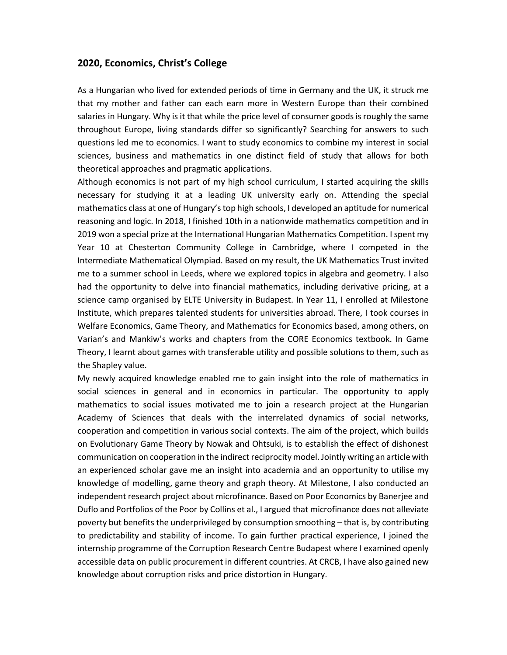## **2020, Economics, Christ's College**

As a Hungarian who lived for extended periods of time in Germany and the UK, it struck me that my mother and father can each earn more in Western Europe than their combined salaries in Hungary. Why is it that while the price level of consumer goods is roughly the same throughout Europe, living standards differ so significantly? Searching for answers to such questions led me to economics. I want to study economics to combine my interest in social sciences, business and mathematics in one distinct field of study that allows for both theoretical approaches and pragmatic applications.

Although economics is not part of my high school curriculum, I started acquiring the skills necessary for studying it at a leading UK university early on. Attending the special mathematics class at one of Hungary's top high schools, I developed an aptitude for numerical reasoning and logic. In 2018, I finished 10th in a nationwide mathematics competition and in 2019 won a special prize at the International Hungarian Mathematics Competition. I spent my Year 10 at Chesterton Community College in Cambridge, where I competed in the Intermediate Mathematical Olympiad. Based on my result, the UK Mathematics Trust invited me to a summer school in Leeds, where we explored topics in algebra and geometry. I also had the opportunity to delve into financial mathematics, including derivative pricing, at a science camp organised by ELTE University in Budapest. In Year 11, I enrolled at Milestone Institute, which prepares talented students for universities abroad. There, I took courses in Welfare Economics, Game Theory, and Mathematics for Economics based, among others, on Varian's and Mankiw's works and chapters from the CORE Economics textbook. In Game Theory, I learnt about games with transferable utility and possible solutions to them, such as the Shapley value.

My newly acquired knowledge enabled me to gain insight into the role of mathematics in social sciences in general and in economics in particular. The opportunity to apply mathematics to social issues motivated me to join a research project at the Hungarian Academy of Sciences that deals with the interrelated dynamics of social networks, cooperation and competition in various social contexts. The aim of the project, which builds on Evolutionary Game Theory by Nowak and Ohtsuki, is to establish the effect of dishonest communication on cooperation in the indirect reciprocity model. Jointly writing an article with an experienced scholar gave me an insight into academia and an opportunity to utilise my knowledge of modelling, game theory and graph theory. At Milestone, I also conducted an independent research project about microfinance. Based on Poor Economics by Banerjee and Duflo and Portfolios of the Poor by Collins et al., I argued that microfinance does not alleviate poverty but benefits the underprivileged by consumption smoothing – that is, by contributing to predictability and stability of income. To gain further practical experience, I joined the internship programme of the Corruption Research Centre Budapest where I examined openly accessible data on public procurement in different countries. At CRCB, I have also gained new knowledge about corruption risks and price distortion in Hungary.